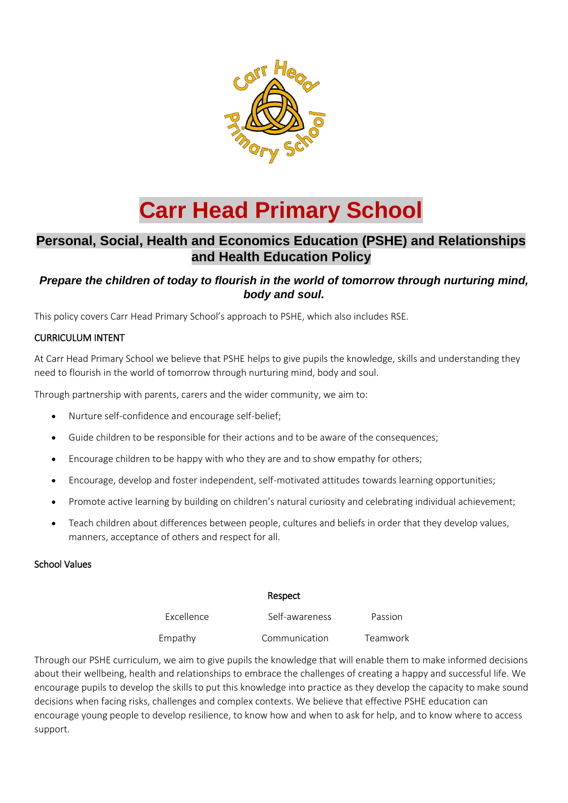

# **Carr Head Primary School**

## **Personal, Social, Health and Economics Education (PSHE) and Relationships and Health Education Policy**

## *Prepare the children of today to flourish in the world of tomorrow through nurturing mind, body and soul.*

This policy covers Carr Head Primary School's approach to PSHE, which also includes RSE.

## CURRICULUM INTENT

At Carr Head Primary School we believe that PSHE helps to give pupils the knowledge, skills and understanding they need to flourish in the world of tomorrow through nurturing mind, body and soul.

Through partnership with parents, carers and the wider community, we aim to:

- Nurture self-confidence and encourage self-belief;
- Guide children to be responsible for their actions and to be aware of the consequences;
- Encourage children to be happy with who they are and to show empathy for others;
- Encourage, develop and foster independent, self-motivated attitudes towards learning opportunities;
- Promote active learning by building on children's natural curiosity and celebrating individual achievement;
- Teach children about differences between people, cultures and beliefs in order that they develop values, manners, acceptance of others and respect for all.

## School Values

#### Respect

| Excellence | Self-awareness | Passion  |
|------------|----------------|----------|
| Empathy    | Communication  | Teamwork |

Through our PSHE curriculum, we aim to give pupils the knowledge that will enable them to make informed decisions about their wellbeing, health and relationships to embrace the challenges of creating a happy and successful life. We encourage pupils to develop the skills to put this knowledge into practice as they develop the capacity to make sound decisions when facing risks, challenges and complex contexts. We believe that effective PSHE education can encourage young people to develop resilience, to know how and when to ask for help, and to know where to access support.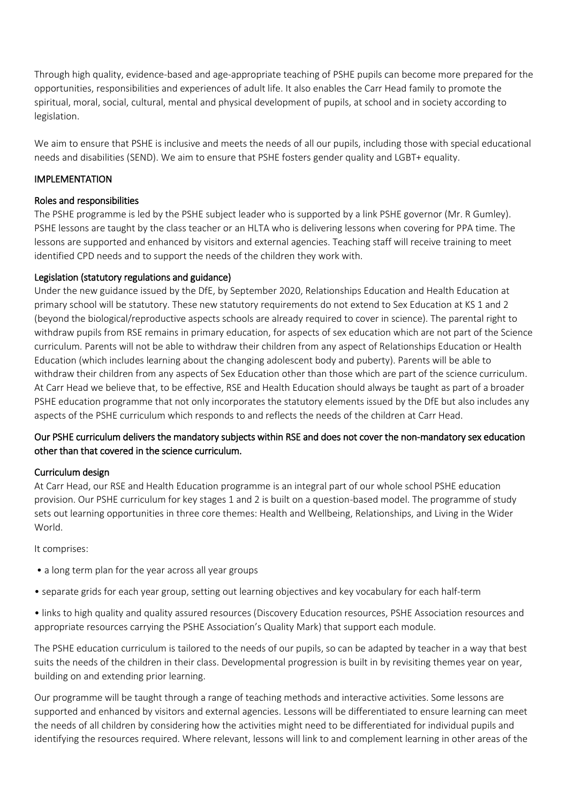Through high quality, evidence-based and age-appropriate teaching of PSHE pupils can become more prepared for the opportunities, responsibilities and experiences of adult life. It also enables the Carr Head family to promote the spiritual, moral, social, cultural, mental and physical development of pupils, at school and in society according to legislation.

We aim to ensure that PSHE is inclusive and meets the needs of all our pupils, including those with special educational needs and disabilities (SEND). We aim to ensure that PSHE fosters gender quality and LGBT+ equality.

## IMPLEMENTATION

## Roles and responsibilities

The PSHE programme is led by the PSHE subject leader who is supported by a link PSHE governor (Mr. R Gumley). PSHE lessons are taught by the class teacher or an HLTA who is delivering lessons when covering for PPA time. The lessons are supported and enhanced by visitors and external agencies. Teaching staff will receive training to meet identified CPD needs and to support the needs of the children they work with.

## Legislation (statutory regulations and guidance)

Under the new guidance issued by the DfE, by September 2020, Relationships Education and Health Education at primary school will be statutory. These new statutory requirements do not extend to Sex Education at KS 1 and 2 (beyond the biological/reproductive aspects schools are already required to cover in science). The parental right to withdraw pupils from RSE remains in primary education, for aspects of sex education which are not part of the Science curriculum. Parents will not be able to withdraw their children from any aspect of Relationships Education or Health Education (which includes learning about the changing adolescent body and puberty). Parents will be able to withdraw their children from any aspects of Sex Education other than those which are part of the science curriculum. At Carr Head we believe that, to be effective, RSE and Health Education should always be taught as part of a broader PSHE education programme that not only incorporates the statutory elements issued by the DfE but also includes any aspects of the PSHE curriculum which responds to and reflects the needs of the children at Carr Head.

## Our PSHE curriculum delivers the mandatory subjects within RSE and does not cover the non-mandatory sex education other than that covered in the science curriculum.

#### Curriculum design

At Carr Head, our RSE and Health Education programme is an integral part of our whole school PSHE education provision. Our PSHE curriculum for key stages 1 and 2 is built on a question-based model. The programme of study sets out learning opportunities in three core themes: Health and Wellbeing, Relationships, and Living in the Wider World.

#### It comprises:

- a long term plan for the year across all year groups
- separate grids for each year group, setting out learning objectives and key vocabulary for each half-term
- links to high quality and quality assured resources (Discovery Education resources, PSHE Association resources and appropriate resources carrying the PSHE Association's Quality Mark) that support each module.

The PSHE education curriculum is tailored to the needs of our pupils, so can be adapted by teacher in a way that best suits the needs of the children in their class. Developmental progression is built in by revisiting themes year on year, building on and extending prior learning.

Our programme will be taught through a range of teaching methods and interactive activities. Some lessons are supported and enhanced by visitors and external agencies. Lessons will be differentiated to ensure learning can meet the needs of all children by considering how the activities might need to be differentiated for individual pupils and identifying the resources required. Where relevant, lessons will link to and complement learning in other areas of the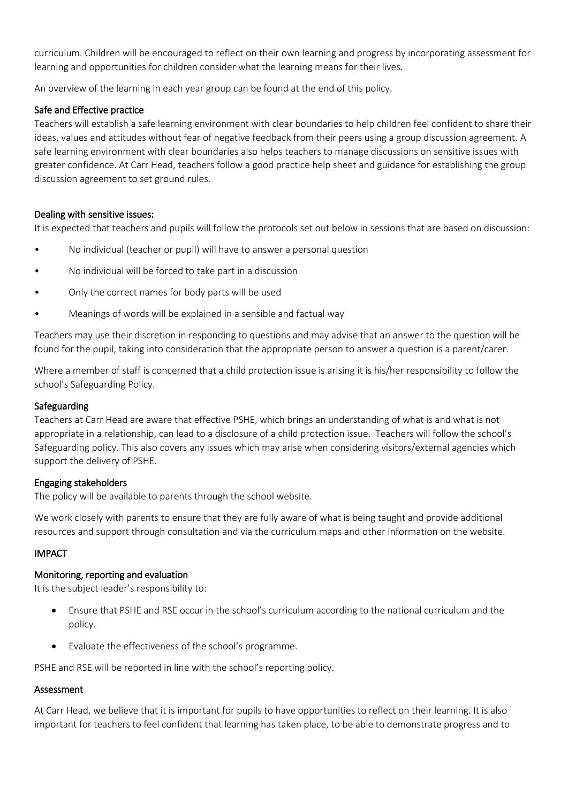curriculum. Children will be encouraged to reflect on their own learning and progress by incorporating assessment for learning and opportunities for children consider what the learning means for their lives.

An overview of the learning in each year group can be found at the end of this policy.

## Safe and Effective practice

Teachers will establish a safe learning environment with clear boundaries to help children feel confident to share their ideas, values and attitudes without fear of negative feedback from their peers using a group discussion agreement. A safe learning environment with clear boundaries also helps teachers to manage discussions on sensitive issues with greater confidence. At Carr Head, teachers follow a good practice help sheet and guidance for establishing the group discussion agreement to set ground rules.

## Dealing with sensitive issues:

It is expected that teachers and pupils will follow the protocols set out below in sessions that are based on discussion:

- No individual (teacher or pupil) will have to answer a personal question
- No individual will be forced to take part in a discussion
- Only the correct names for body parts will be used
- Meanings of words will be explained in a sensible and factual way

Teachers may use their discretion in responding to questions and may advise that an answer to the question will be found for the pupil, taking into consideration that the appropriate person to answer a question is a parent/carer.

Where a member of staff is concerned that a child protection issue is arising it is his/her responsibility to follow the school's Safeguarding Policy.

## Safeguarding

Teachers at Carr Head are aware that effective PSHE, which brings an understanding of what is and what is not appropriate in a relationship, can lead to a disclosure of a child protection issue. Teachers will follow the school's Safeguarding policy. This also covers any issues which may arise when considering visitors/external agencies which support the delivery of PSHE.

## Engaging stakeholders

The policy will be available to parents through the school website.

We work closely with parents to ensure that they are fully aware of what is being taught and provide additional resources and support through consultation and via the curriculum maps and other information on the website.

## IMPACT

## Monitoring, reporting and evaluation

It is the subject leader's responsibility to:

- Ensure that PSHE and RSE occur in the school's curriculum according to the national curriculum and the policy.
- Evaluate the effectiveness of the school's programme.

PSHE and RSE will be reported in line with the school's reporting policy.

## Assessment

At Carr Head, we believe that it is important for pupils to have opportunities to reflect on their learning. It is also important for teachers to feel confident that learning has taken place, to be able to demonstrate progress and to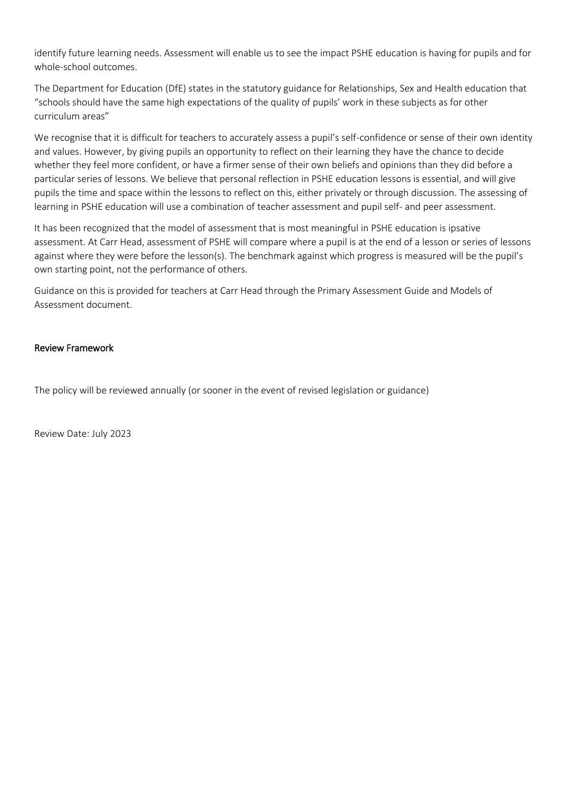identify future learning needs. Assessment will enable us to see the impact PSHE education is having for pupils and for whole-school outcomes.

The Department for Education (DfE) states in the statutory guidance for Relationships, Sex and Health education that "schools should have the same high expectations of the quality of pupils' work in these subjects as for other curriculum areas"

We recognise that it is difficult for teachers to accurately assess a pupil's self-confidence or sense of their own identity and values. However, by giving pupils an opportunity to reflect on their learning they have the chance to decide whether they feel more confident, or have a firmer sense of their own beliefs and opinions than they did before a particular series of lessons. We believe that personal reflection in PSHE education lessons is essential, and will give pupils the time and space within the lessons to reflect on this, either privately or through discussion. The assessing of learning in PSHE education will use a combination of teacher assessment and pupil self- and peer assessment*.* 

It has been recognized that the model of assessment that is most meaningful in PSHE education is ipsative assessment. At Carr Head, assessment of PSHE will compare where a pupil is at the end of a lesson or series of lessons against where they were before the lesson(s). The benchmark against which progress is measured will be the pupil's own starting point, not the performance of others.

Guidance on this is provided for teachers at Carr Head through the Primary Assessment Guide and Models of Assessment document.

#### Review Framework

The policy will be reviewed annually (or sooner in the event of revised legislation or guidance)

Review Date: July 2023